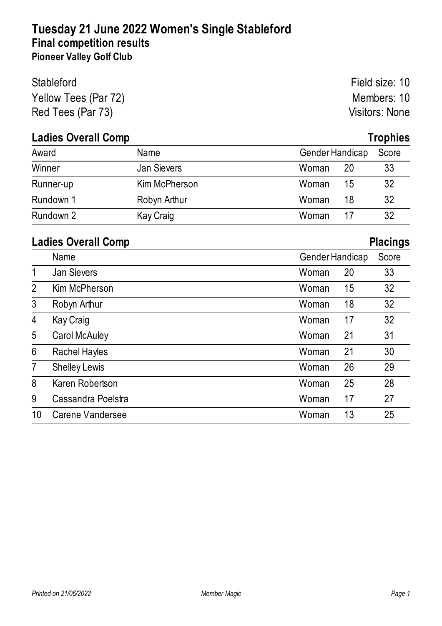## **Tuesday 21 June 2022 Women's Single Stableford Final competition results Pioneer Valley Golf Club**

| <b>Stableford</b>    | Field size: 10 |
|----------------------|----------------|
| Yellow Tees (Par 72) | Members: 10    |
| Red Tees (Par 73)    | Visitors: None |

# **Ladies Overall Comp Trophies**

| Award     | Name          | <b>Gender Handicap</b> | Score |
|-----------|---------------|------------------------|-------|
| Winner    | Jan Sievers   | Woman<br>20            | 33    |
| Runner-up | Kim McPherson | 15<br>Woman            | 32    |
| Rundown 1 | Robyn Arthur  | 18<br>Woman            | 32    |
| Rundown 2 | Kay Craig     | Woman                  | 32    |

#### **Ladies Overall Comp Placings**

|                |                      |                 |    | ັ     |
|----------------|----------------------|-----------------|----|-------|
|                | Name                 | Gender Handicap |    | Score |
| 1              | <b>Jan Sievers</b>   | Woman           | 20 | 33    |
| $\overline{2}$ | Kim McPherson        | Woman           | 15 | 32    |
| 3              | Robyn Arthur         | Woman           | 18 | 32    |
| 4              | Kay Craig            | Woman           | 17 | 32    |
| 5              | <b>Carol McAuley</b> | Woman           | 21 | 31    |
| 6              | Rachel Hayles        | Woman           | 21 | 30    |
| $\overline{7}$ | <b>Shelley Lewis</b> | Woman           | 26 | 29    |
| 8              | Karen Robertson      | Woman           | 25 | 28    |
| 9              | Cassandra Poelstra   | Woman           | 17 | 27    |
| 10             | Carene Vandersee     | Woman           | 13 | 25    |
|                |                      |                 |    |       |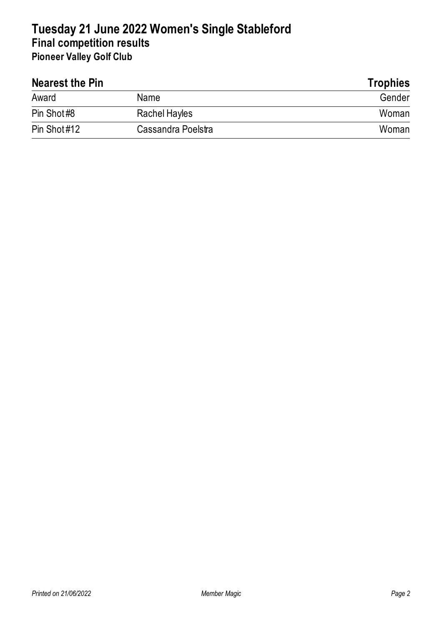## **Tuesday 21 June 2022 Women's Single Stableford Final competition results Pioneer Valley Golf Club**

| Nearest the Pin |                    | <b>Trophies</b> |  |
|-----------------|--------------------|-----------------|--|
| Award           | Name               | Gender          |  |
| Pin Shot#8      | Rachel Hayles      | Woman           |  |
| Pin Shot#12     | Cassandra Poelstra | Woman           |  |